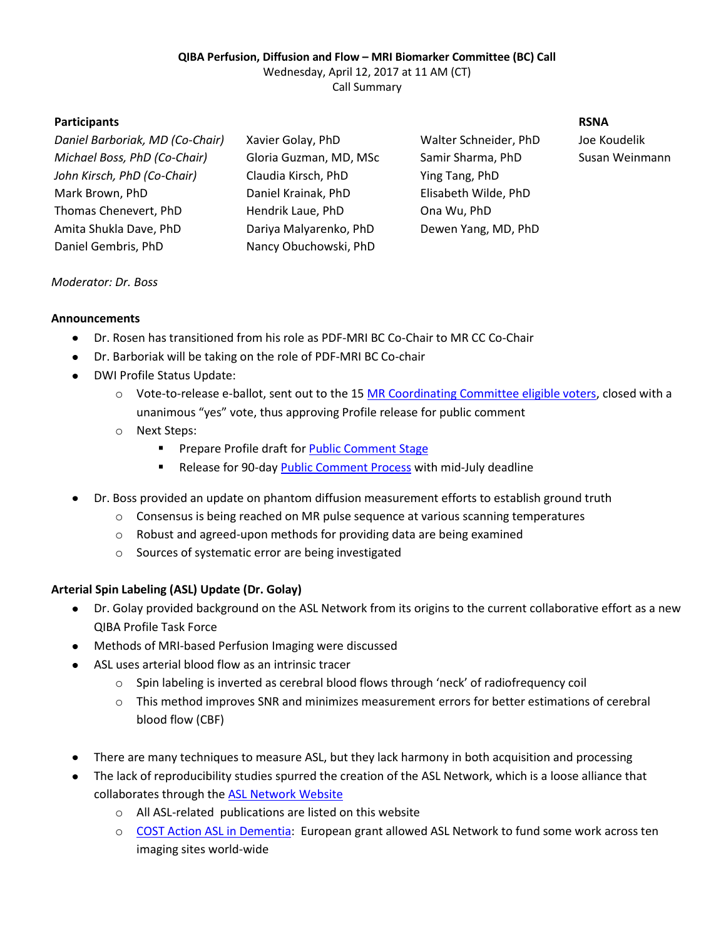# **QIBA Perfusion, Diffusion and Flow – MRI Biomarker Committee (BC) Call**

Wednesday, April 12, 2017 at 11 AM (CT)

Call Summary

# **Participants RSNA**

| Daniel Barboriak, MD (Co-Chair) |                        | Walter Schneider, PhD | Joe Koudelik |
|---------------------------------|------------------------|-----------------------|--------------|
|                                 | Xavier Golay, PhD      |                       |              |
| Michael Boss, PhD (Co-Chair)    | Gloria Guzman, MD, MSc | Samir Sharma, PhD     | Susan Weinr  |
| John Kirsch, PhD (Co-Chair)     | Claudia Kirsch, PhD    | Ying Tang, PhD        |              |
| Mark Brown, PhD                 | Daniel Krainak, PhD    | Elisabeth Wilde, PhD  |              |
| Thomas Chenevert, PhD           | Hendrik Laue, PhD      | Ona Wu, PhD           |              |
| Amita Shukla Dave, PhD          | Dariya Malyarenko, PhD | Dewen Yang, MD, PhD   |              |
| Daniel Gembris, PhD             | Nancy Obuchowski, PhD  |                       |              |
|                                 |                        |                       |              |

*Michael Boss, PhD (Co-Chair)* Gloria Guzman, MD, MSc Samir Sharma, PhD Susan Weinmann

# *Moderator: Dr. Boss*

### **Announcements**

- Dr. Rosen has transitioned from his role as PDF-MRI BC Co-Chair to MR CC Co-Chair
- Dr. Barboriak will be taking on the role of PDF-MRI BC Co-chair
- DWI Profile Status Update:
	- $\circ$  Vote-to-release e-ballot, sent out to the 15 [MR Coordinating Committee eligible voters,](http://qibawiki.rsna.org/images/2/2c/QIBA_MR_CC_Roster.pdf) closed with a unanimous "yes" vote, thus approving Profile release for public comment
	- o Next Steps:
		- **Prepare Profile draft fo[r Public Comment Stage](http://qibawiki.rsna.org/index.php/QIBA_Profile_Stages)**
		- Release for 90-da[y Public Comment Process](http://qibawiki.rsna.org/index.php/Public_Comment_Process) with mid-July deadline
- Dr. Boss provided an update on phantom diffusion measurement efforts to establish ground truth
	- $\circ$  Consensus is being reached on MR pulse sequence at various scanning temperatures
	- o Robust and agreed-upon methods for providing data are being examined
	- o Sources of systematic error are being investigated

### **Arterial Spin Labeling (ASL) Update (Dr. Golay)**

- Dr. Golay provided background on the ASL Network from its origins to the current collaborative effort as a new QIBA Profile Task Force
- Methods of MRI-based Perfusion Imaging were discussed
- ASL uses arterial blood flow as an intrinsic tracer  $\bullet$ 
	- o Spin labeling is inverted as cerebral blood flows through 'neck' of radiofrequency coil
	- o This method improves SNR and minimizes measurement errors for better estimations of cerebral blood flow (CBF)
- There are many techniques to measure ASL, but they lack harmony in both acquisition and processing
- The lack of reproducibility studies spurred the creation of the ASL Network, which is a loose alliance that collaborates through the [ASL Network](http://asl-network.org/) Website
	- o All ASL-related publications are listed on this website
	- o [COST Action ASL in Dementia:](http://www.aslindementia.org/) European grant allowed ASL Network to fund some work across ten imaging sites world-wide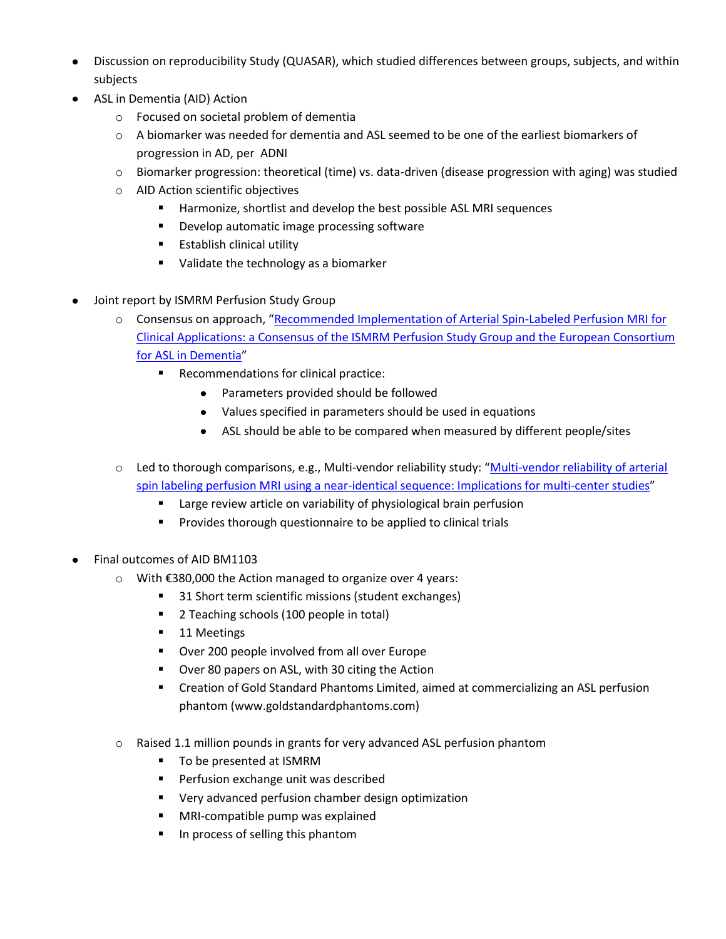- Discussion on reproducibility Study (QUASAR), which studied differences between groups, subjects, and within subjects
- ASL in Dementia (AID) Action
	- o Focused on societal problem of dementia
	- o A biomarker was needed for dementia and ASL seemed to be one of the earliest biomarkers of progression in AD, per ADNI
	- $\circ$  Biomarker progression: theoretical (time) vs. data-driven (disease progression with aging) was studied
	- o AID Action scientific objectives
		- **Harmonize, shortlist and develop the best possible ASL MRI sequences**
		- **Develop automatic image processing software**
		- **Establish clinical utility**
		- Ualidate the technology as a biomarker
- Joint report by ISMRM Perfusion Study Group
	- o Consensus on approach, "[Recommended Implementation of Arterial Spin-Labeled Perfusion MRI for](https://www.ncbi.nlm.nih.gov/pmc/articles/PMC4190138/)  Clinical Applications: a [Consensus of the ISMRM Perfusion Study Group and the European Consortium](https://www.ncbi.nlm.nih.gov/pmc/articles/PMC4190138/)  [for ASL in Dementia](https://www.ncbi.nlm.nih.gov/pmc/articles/PMC4190138/)"
		- **Recommendations for clinical practice:** 
			- Parameters provided should be followed
			- Values specified in parameters should be used in equations
			- ASL should be able to be compared when measured by different people/sites
	- o Led to thorough comparisons, e.g., Multi-vendor reliability study: "[Multi-vendor reliability of arterial](https://www.ncbi.nlm.nih.gov/pubmed/25818685)  [spin labeling perfusion MRI using a near-identical sequence: Implications for multi-center studies](https://www.ncbi.nlm.nih.gov/pubmed/25818685)"
		- **E** Large review article on variability of physiological brain perfusion
		- **Provides thorough questionnaire to be applied to clinical trials**
- Final outcomes of AID BM1103
	- o With €380,000 the Action managed to organize over 4 years:
		- 31 Short term scientific missions (student exchanges)
		- **2** Teaching schools (100 people in total)
		- 11 Meetings
		- **•** Over 200 people involved from all over Europe
		- **Over 80 papers on ASL, with 30 citing the Action**
		- Creation of Gold Standard Phantoms Limited, aimed at commercializing an ASL perfusion phantom (www.goldstandardphantoms.com)
	- o Raised 1.1 million pounds in grants for very advanced ASL perfusion phantom
		- To be presented at ISMRM
		- **Perfusion exchange unit was described**
		- Very advanced perfusion chamber design optimization
		- MRI-compatible pump was explained
		- **IF** In process of selling this phantom